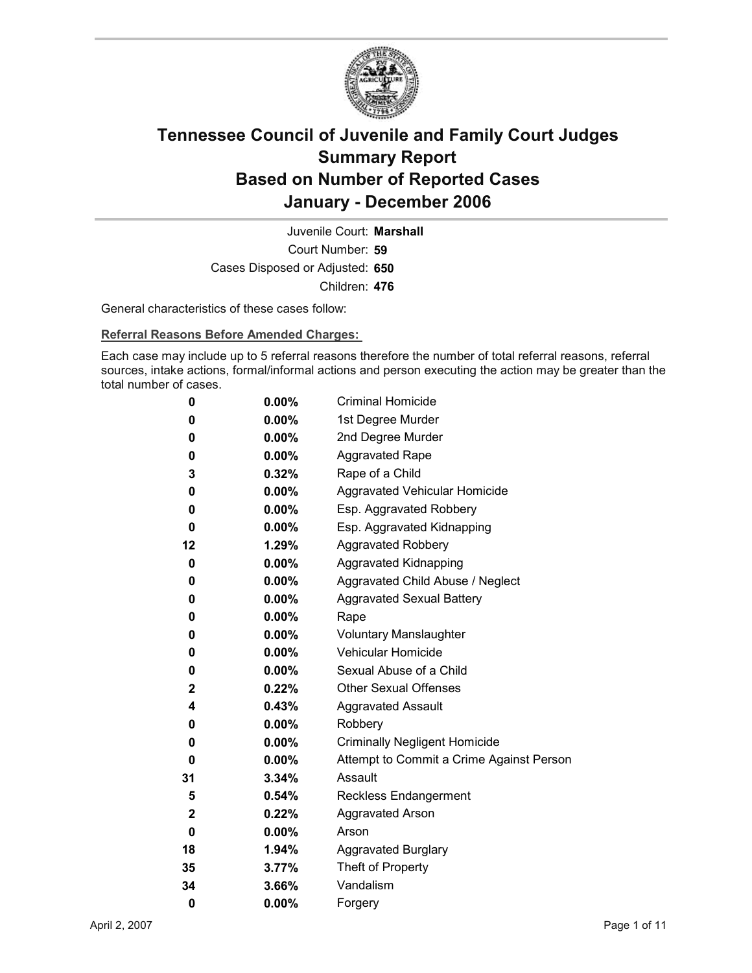

Court Number: **59** Juvenile Court: **Marshall** Cases Disposed or Adjusted: **650** Children: **476**

General characteristics of these cases follow:

**Referral Reasons Before Amended Charges:** 

Each case may include up to 5 referral reasons therefore the number of total referral reasons, referral sources, intake actions, formal/informal actions and person executing the action may be greater than the total number of cases.

| 0            | $0.00\%$ | <b>Criminal Homicide</b>                 |
|--------------|----------|------------------------------------------|
| 0            | $0.00\%$ | 1st Degree Murder                        |
| 0            | $0.00\%$ | 2nd Degree Murder                        |
| 0            | $0.00\%$ | <b>Aggravated Rape</b>                   |
| 3            | 0.32%    | Rape of a Child                          |
| 0            | $0.00\%$ | Aggravated Vehicular Homicide            |
| 0            | $0.00\%$ | Esp. Aggravated Robbery                  |
| 0            | $0.00\%$ | Esp. Aggravated Kidnapping               |
| 12           | 1.29%    | <b>Aggravated Robbery</b>                |
| 0            | $0.00\%$ | <b>Aggravated Kidnapping</b>             |
| 0            | $0.00\%$ | Aggravated Child Abuse / Neglect         |
| 0            | $0.00\%$ | <b>Aggravated Sexual Battery</b>         |
| 0            | $0.00\%$ | Rape                                     |
| 0            | $0.00\%$ | <b>Voluntary Manslaughter</b>            |
| 0            | $0.00\%$ | <b>Vehicular Homicide</b>                |
| 0            | $0.00\%$ | Sexual Abuse of a Child                  |
| $\mathbf{2}$ | $0.22\%$ | <b>Other Sexual Offenses</b>             |
| 4            | $0.43\%$ | <b>Aggravated Assault</b>                |
| 0            | $0.00\%$ | Robbery                                  |
| 0            | $0.00\%$ | <b>Criminally Negligent Homicide</b>     |
| 0            | $0.00\%$ | Attempt to Commit a Crime Against Person |
| 31           | $3.34\%$ | Assault                                  |
| 5            | 0.54%    | <b>Reckless Endangerment</b>             |
| $\mathbf{2}$ | 0.22%    | <b>Aggravated Arson</b>                  |
| 0            | $0.00\%$ | Arson                                    |
| 18           | 1.94%    | <b>Aggravated Burglary</b>               |
| 35           | 3.77%    | Theft of Property                        |
| 34           | 3.66%    | Vandalism                                |
| 0            | 0.00%    | Forgery                                  |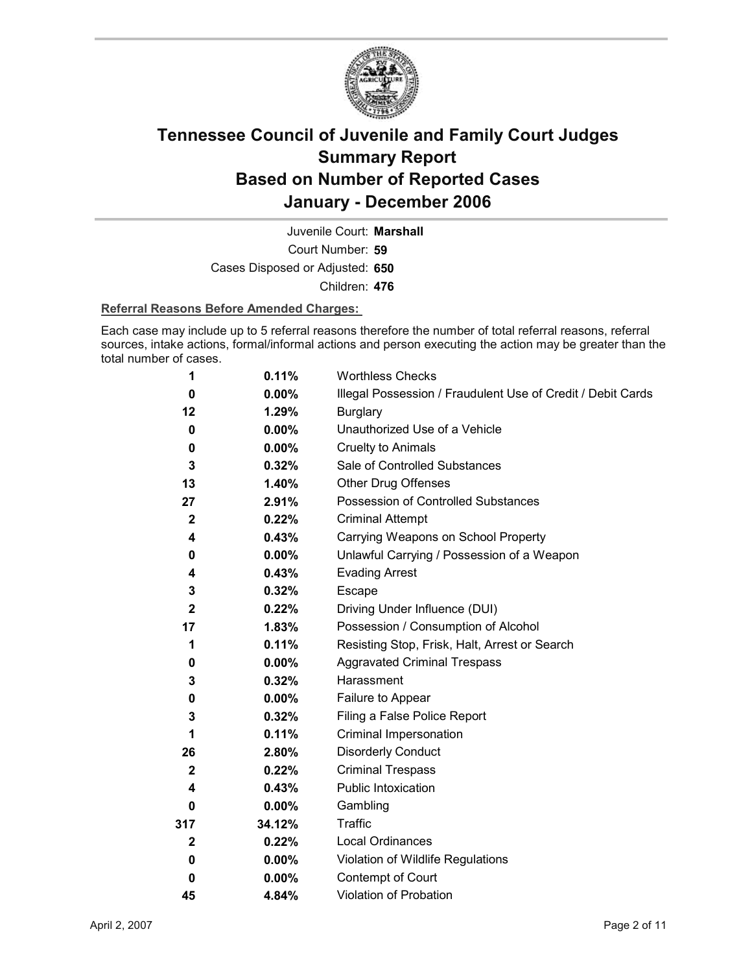

Court Number: **59** Juvenile Court: **Marshall** Cases Disposed or Adjusted: **650** Children: **476**

#### **Referral Reasons Before Amended Charges:**

Each case may include up to 5 referral reasons therefore the number of total referral reasons, referral sources, intake actions, formal/informal actions and person executing the action may be greater than the total number of cases.

| 1            | 0.11%    | <b>Worthless Checks</b>                                     |
|--------------|----------|-------------------------------------------------------------|
| 0            | $0.00\%$ | Illegal Possession / Fraudulent Use of Credit / Debit Cards |
| 12           | 1.29%    | <b>Burglary</b>                                             |
| 0            | $0.00\%$ | Unauthorized Use of a Vehicle                               |
| 0            | $0.00\%$ | <b>Cruelty to Animals</b>                                   |
| 3            | 0.32%    | Sale of Controlled Substances                               |
| 13           | 1.40%    | <b>Other Drug Offenses</b>                                  |
| 27           | 2.91%    | Possession of Controlled Substances                         |
| $\mathbf{2}$ | 0.22%    | <b>Criminal Attempt</b>                                     |
| 4            | 0.43%    | Carrying Weapons on School Property                         |
| 0            | $0.00\%$ | Unlawful Carrying / Possession of a Weapon                  |
| 4            | 0.43%    | <b>Evading Arrest</b>                                       |
| 3            | 0.32%    | Escape                                                      |
| $\mathbf{2}$ | $0.22\%$ | Driving Under Influence (DUI)                               |
| 17           | 1.83%    | Possession / Consumption of Alcohol                         |
| 1            | 0.11%    | Resisting Stop, Frisk, Halt, Arrest or Search               |
| 0            | $0.00\%$ | <b>Aggravated Criminal Trespass</b>                         |
| 3            | 0.32%    | Harassment                                                  |
| 0            | $0.00\%$ | Failure to Appear                                           |
| 3            | 0.32%    | Filing a False Police Report                                |
| 1            | 0.11%    | Criminal Impersonation                                      |
| 26           | 2.80%    | <b>Disorderly Conduct</b>                                   |
| $\mathbf{2}$ | 0.22%    | <b>Criminal Trespass</b>                                    |
| 4            | 0.43%    | Public Intoxication                                         |
| 0            | $0.00\%$ | Gambling                                                    |
| 317          | 34.12%   | <b>Traffic</b>                                              |
| $\mathbf{2}$ | 0.22%    | <b>Local Ordinances</b>                                     |
| 0            | $0.00\%$ | Violation of Wildlife Regulations                           |
| 0            | $0.00\%$ | Contempt of Court                                           |
| 45           | 4.84%    | <b>Violation of Probation</b>                               |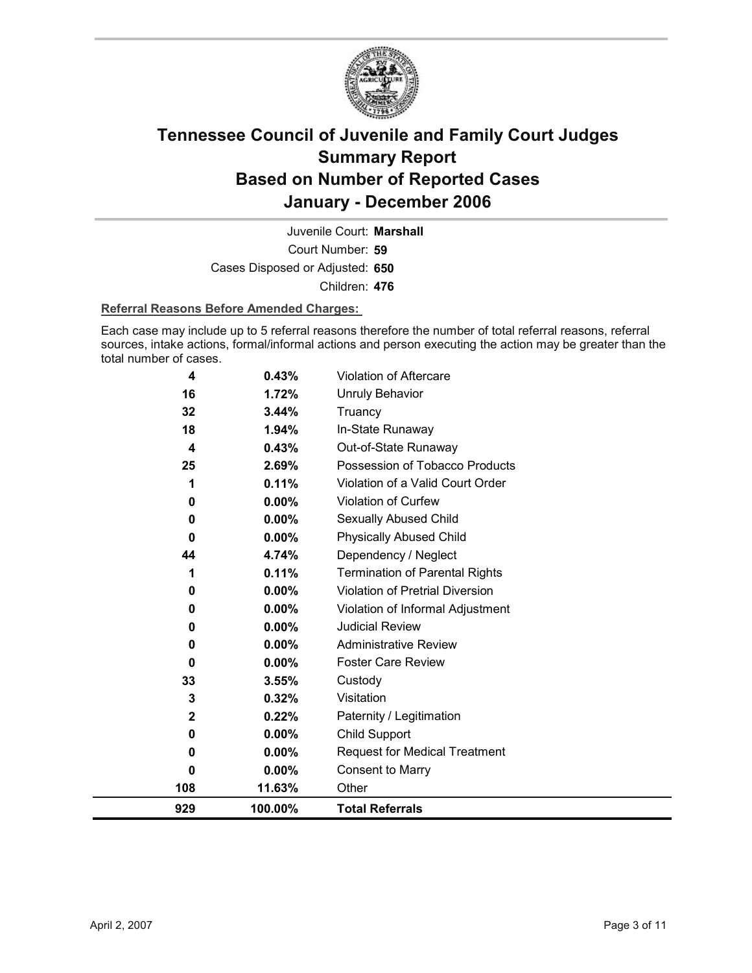

Court Number: **59** Juvenile Court: **Marshall** Cases Disposed or Adjusted: **650** Children: **476**

### **Referral Reasons Before Amended Charges:**

Each case may include up to 5 referral reasons therefore the number of total referral reasons, referral sources, intake actions, formal/informal actions and person executing the action may be greater than the total number of cases.

| 929         | 100.00%  | <b>Total Referrals</b>                 |
|-------------|----------|----------------------------------------|
| 108         | 11.63%   | Other                                  |
| 0           | $0.00\%$ | <b>Consent to Marry</b>                |
| 0           | $0.00\%$ | <b>Request for Medical Treatment</b>   |
| 0           | $0.00\%$ | <b>Child Support</b>                   |
| $\mathbf 2$ | 0.22%    | Paternity / Legitimation               |
| 3           | 0.32%    | Visitation                             |
| 33          | 3.55%    | Custody                                |
| $\bf{0}$    | $0.00\%$ | <b>Foster Care Review</b>              |
| 0           | 0.00%    | <b>Administrative Review</b>           |
| 0           | $0.00\%$ | <b>Judicial Review</b>                 |
| 0           | 0.00%    | Violation of Informal Adjustment       |
| 0           | 0.00%    | <b>Violation of Pretrial Diversion</b> |
| 1           | 0.11%    | <b>Termination of Parental Rights</b>  |
| 44          | 4.74%    | Dependency / Neglect                   |
| $\bf{0}$    | $0.00\%$ | <b>Physically Abused Child</b>         |
| 0           | 0.00%    | Sexually Abused Child                  |
| 0           | 0.00%    | Violation of Curfew                    |
| 1           | 0.11%    | Violation of a Valid Court Order       |
| 25          | 2.69%    | Possession of Tobacco Products         |
| 4           | 0.43%    | Out-of-State Runaway                   |
| 18          | 1.94%    | In-State Runaway                       |
| 32          | 3.44%    | Truancy                                |
| 16          | 1.72%    | <b>Unruly Behavior</b>                 |
| 4           | 0.43%    | Violation of Aftercare                 |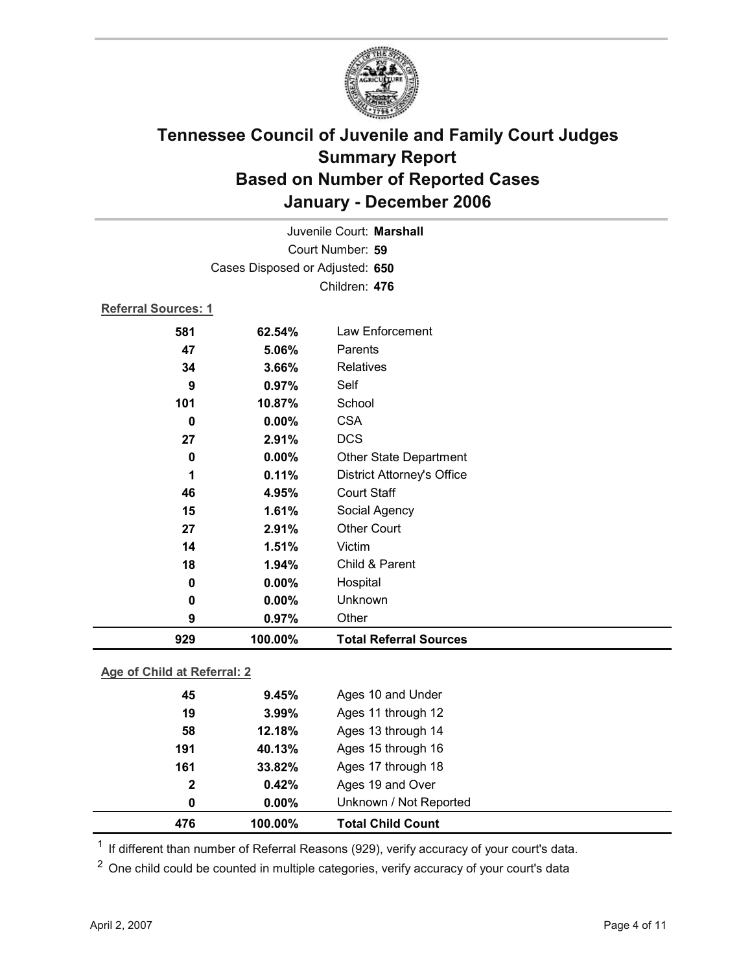

| Juvenile Court: Marshall        |         |                                   |
|---------------------------------|---------|-----------------------------------|
| Court Number: 59                |         |                                   |
| Cases Disposed or Adjusted: 650 |         |                                   |
|                                 |         | Children: 476                     |
| <b>Referral Sources: 1</b>      |         |                                   |
| 581                             | 62.54%  | Law Enforcement                   |
| 47                              | 5.06%   | Parents                           |
| 34                              | 3.66%   | Relatives                         |
| 9                               | 0.97%   | Self                              |
| 101                             | 10.87%  | School                            |
| $\bf{0}$                        | 0.00%   | <b>CSA</b>                        |
| 27                              | 2.91%   | <b>DCS</b>                        |
| 0                               | 0.00%   | Other State Department            |
| 1                               | 0.11%   | <b>District Attorney's Office</b> |
| 46                              | 4.95%   | <b>Court Staff</b>                |
| 15                              | 1.61%   | Social Agency                     |
| 27                              | 2.91%   | <b>Other Court</b>                |
| 14                              | 1.51%   | Victim                            |
| 18                              | 1.94%   | Child & Parent                    |
| 0                               | 0.00%   | Hospital                          |
| 0                               | 0.00%   | Unknown                           |
| 9                               | 0.97%   | Other                             |
| 929                             | 100.00% | <b>Total Referral Sources</b>     |

### **Age of Child at Referral: 2**

| 476 | 100.00%               | <b>Total Child Count</b> |
|-----|-----------------------|--------------------------|
|     | $0.00\%$<br>0         | Unknown / Not Reported   |
|     | $\mathbf{2}$<br>0.42% | Ages 19 and Over         |
| 161 | 33.82%                | Ages 17 through 18       |
| 191 | 40.13%                | Ages 15 through 16       |
|     | 12.18%<br>58          | Ages 13 through 14       |
|     | 3.99%<br>19           | Ages 11 through 12       |
|     | 9.45%<br>45           | Ages 10 and Under        |
|     |                       |                          |

<sup>1</sup> If different than number of Referral Reasons (929), verify accuracy of your court's data.

<sup>2</sup> One child could be counted in multiple categories, verify accuracy of your court's data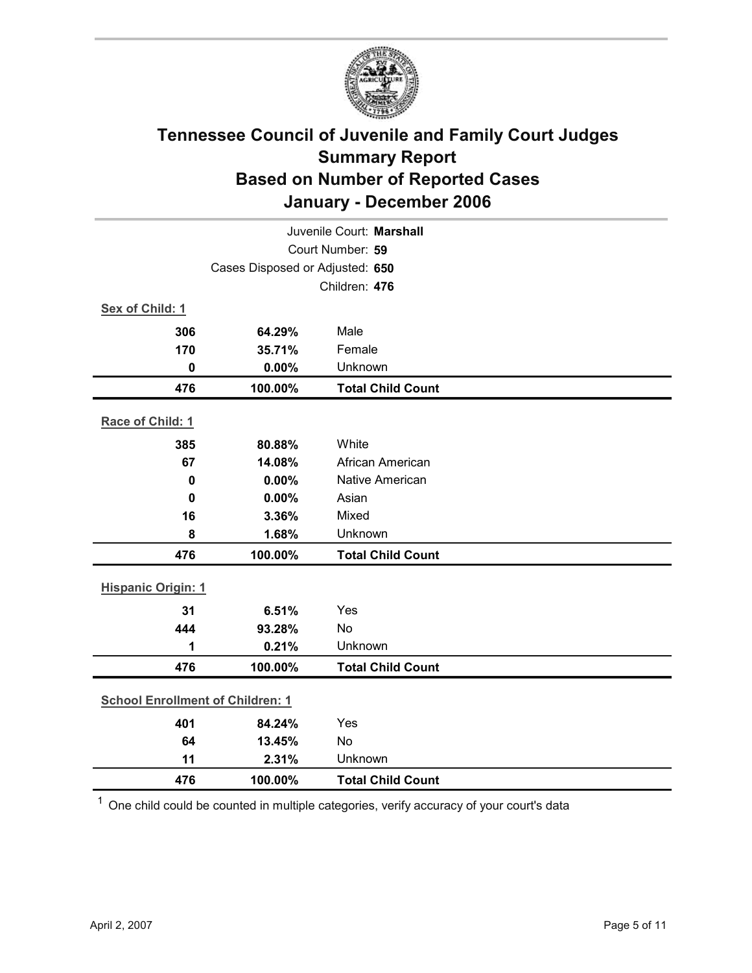

| Juvenile Court: Marshall                |                                 |                          |  |  |
|-----------------------------------------|---------------------------------|--------------------------|--|--|
| Court Number: 59                        |                                 |                          |  |  |
|                                         | Cases Disposed or Adjusted: 650 |                          |  |  |
|                                         |                                 | Children: 476            |  |  |
| Sex of Child: 1                         |                                 |                          |  |  |
| 306                                     | 64.29%                          | Male                     |  |  |
| 170                                     | 35.71%                          | Female                   |  |  |
| $\mathbf 0$                             | 0.00%                           | Unknown                  |  |  |
| 476                                     | 100.00%                         | <b>Total Child Count</b> |  |  |
| Race of Child: 1                        |                                 |                          |  |  |
| 385                                     | 80.88%                          | White                    |  |  |
| 67                                      | 14.08%                          | African American         |  |  |
| 0                                       | 0.00%                           | <b>Native American</b>   |  |  |
| 0                                       | 0.00%                           | Asian                    |  |  |
| 16                                      | 3.36%                           | Mixed                    |  |  |
| 8                                       | 1.68%                           | Unknown                  |  |  |
| 476                                     | 100.00%                         | <b>Total Child Count</b> |  |  |
| <b>Hispanic Origin: 1</b>               |                                 |                          |  |  |
| 31                                      | 6.51%                           | Yes                      |  |  |
| 444                                     | 93.28%                          | No                       |  |  |
| 1                                       | 0.21%                           | Unknown                  |  |  |
| 476                                     | 100.00%                         | <b>Total Child Count</b> |  |  |
| <b>School Enrollment of Children: 1</b> |                                 |                          |  |  |
| 401                                     | 84.24%                          | Yes                      |  |  |
| 64                                      | 13.45%                          | No                       |  |  |
| 11                                      | 2.31%                           | Unknown                  |  |  |
| 476                                     | 100.00%                         | <b>Total Child Count</b> |  |  |

 $1$  One child could be counted in multiple categories, verify accuracy of your court's data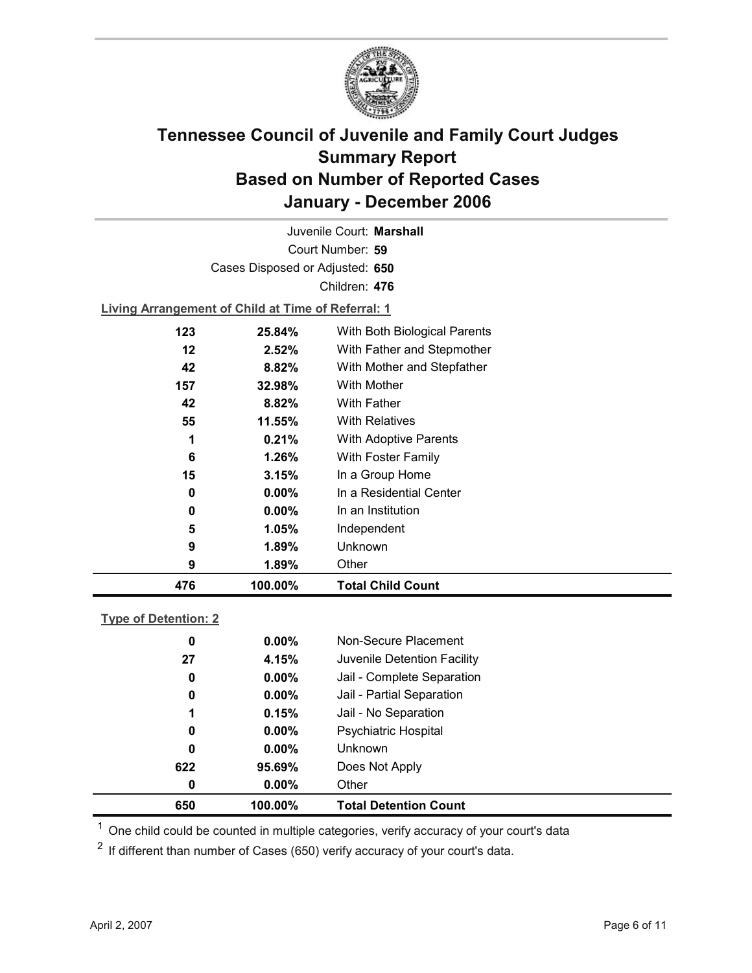

Court Number: **59** Juvenile Court: **Marshall** Cases Disposed or Adjusted: **650** Children: **476**

**Living Arrangement of Child at Time of Referral: 1**

| 476 | 100.00%  | <b>Total Child Count</b>     |
|-----|----------|------------------------------|
| 9   | 1.89%    | Other                        |
| 9   | 1.89%    | Unknown                      |
| 5   | 1.05%    | Independent                  |
| 0   | $0.00\%$ | In an Institution            |
| 0   | $0.00\%$ | In a Residential Center      |
| 15  | 3.15%    | In a Group Home              |
| 6   | 1.26%    | With Foster Family           |
| 1   | 0.21%    | <b>With Adoptive Parents</b> |
| 55  | 11.55%   | <b>With Relatives</b>        |
| 42  | 8.82%    | With Father                  |
| 157 | 32.98%   | With Mother                  |
| 42  | 8.82%    | With Mother and Stepfather   |
| 12  | 2.52%    | With Father and Stepmother   |
| 123 | 25.84%   | With Both Biological Parents |
|     |          |                              |

### **Type of Detention: 2**

| 650 | 100.00%  | <b>Total Detention Count</b> |  |
|-----|----------|------------------------------|--|
| 0   | $0.00\%$ | Other                        |  |
| 622 | 95.69%   | Does Not Apply               |  |
| 0   | $0.00\%$ | <b>Unknown</b>               |  |
| 0   | $0.00\%$ | <b>Psychiatric Hospital</b>  |  |
| 1   | 0.15%    | Jail - No Separation         |  |
| 0   | $0.00\%$ | Jail - Partial Separation    |  |
| 0   | $0.00\%$ | Jail - Complete Separation   |  |
| 27  | 4.15%    | Juvenile Detention Facility  |  |
| 0   | $0.00\%$ | Non-Secure Placement         |  |
|     |          |                              |  |

 $<sup>1</sup>$  One child could be counted in multiple categories, verify accuracy of your court's data</sup>

 $2$  If different than number of Cases (650) verify accuracy of your court's data.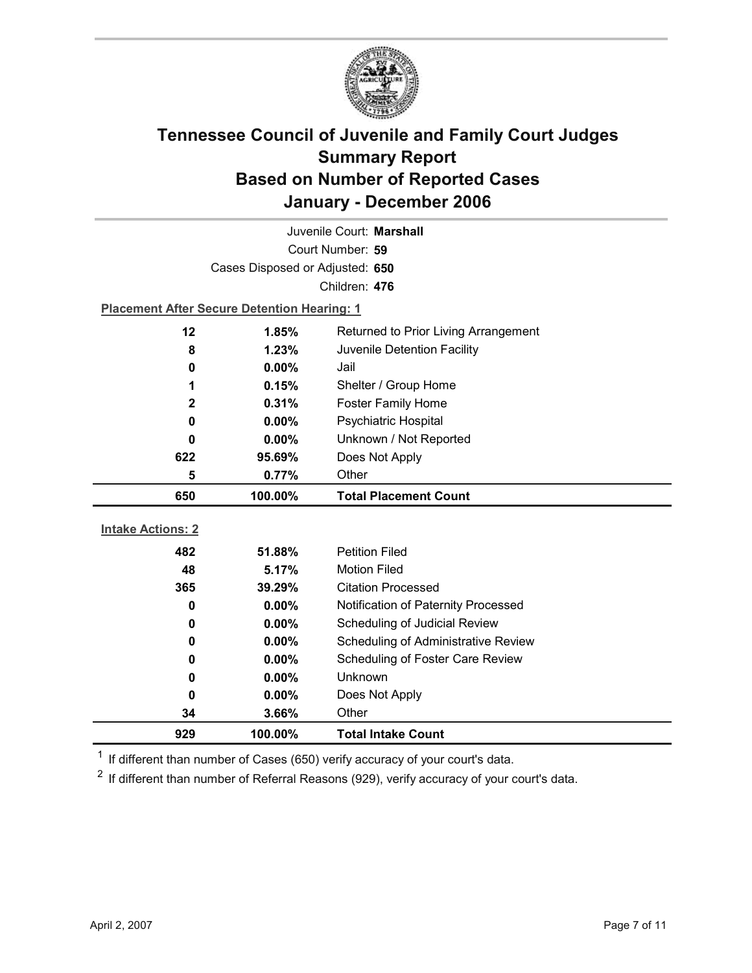

| Juvenile Court: Marshall |                                                    |                                     |  |  |
|--------------------------|----------------------------------------------------|-------------------------------------|--|--|
|                          | Court Number: 59                                   |                                     |  |  |
|                          | Cases Disposed or Adjusted: 650                    |                                     |  |  |
|                          |                                                    | Children: 476                       |  |  |
|                          | <b>Placement After Secure Detention Hearing: 1</b> |                                     |  |  |
| 12                       | 1.85%<br>Returned to Prior Living Arrangement      |                                     |  |  |
| 8                        | 1.23%                                              | Juvenile Detention Facility         |  |  |
| 0                        | $0.00\%$                                           | Jail                                |  |  |
| 1                        | 0.15%                                              | Shelter / Group Home                |  |  |
| 2                        | 0.31%                                              | <b>Foster Family Home</b>           |  |  |
| 0                        | 0.00%                                              | Psychiatric Hospital                |  |  |
| 0                        | $0.00\%$                                           | Unknown / Not Reported              |  |  |
| 622                      | 95.69%                                             | Does Not Apply                      |  |  |
| 5                        | 0.77%                                              | Other                               |  |  |
|                          |                                                    |                                     |  |  |
| 650                      | 100.00%                                            | <b>Total Placement Count</b>        |  |  |
|                          |                                                    |                                     |  |  |
| <b>Intake Actions: 2</b> |                                                    |                                     |  |  |
| 482                      | 51.88%                                             | <b>Petition Filed</b>               |  |  |
| 48                       | 5.17%                                              | <b>Motion Filed</b>                 |  |  |
| 365                      | 39.29%                                             | <b>Citation Processed</b>           |  |  |
| $\bf{0}$                 | $0.00\%$                                           | Notification of Paternity Processed |  |  |
| 0                        | $0.00\%$                                           | Scheduling of Judicial Review       |  |  |
| 0                        | 0.00%                                              | Scheduling of Administrative Review |  |  |
| 0                        | 0.00%                                              | Scheduling of Foster Care Review    |  |  |
| 0                        | $0.00\%$                                           | Unknown                             |  |  |
| 0                        | $0.00\%$                                           | Does Not Apply                      |  |  |
| 34<br>929                | 3.66%<br>100.00%                                   | Other<br><b>Total Intake Count</b>  |  |  |

 $1$  If different than number of Cases (650) verify accuracy of your court's data.

 $2$  If different than number of Referral Reasons (929), verify accuracy of your court's data.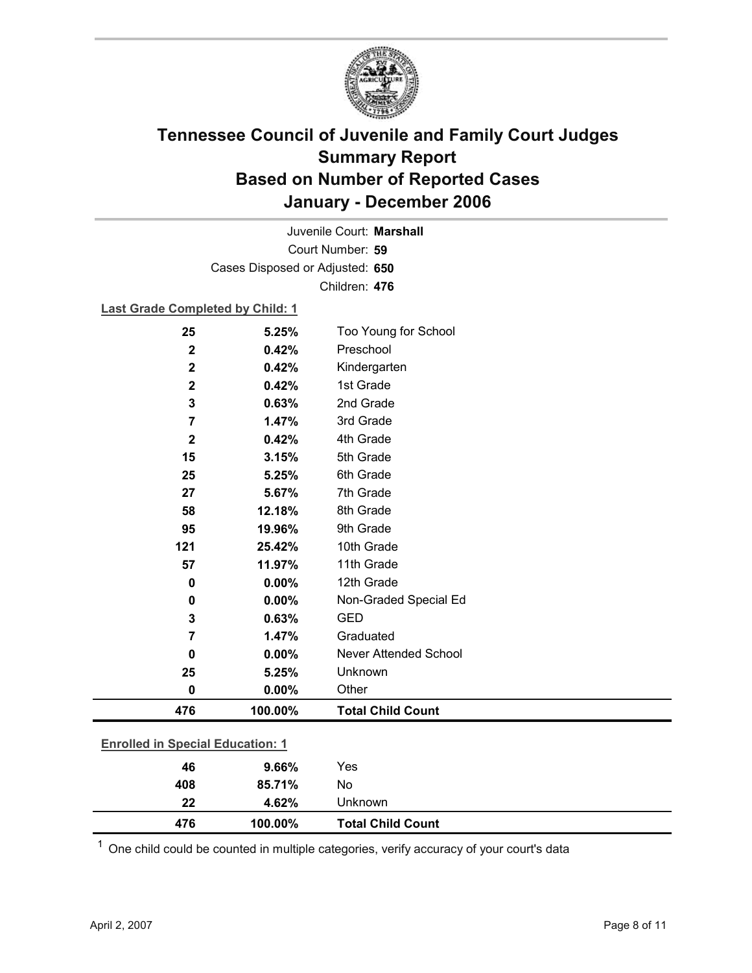

Court Number: **59** Juvenile Court: **Marshall** Cases Disposed or Adjusted: **650** Children: **476**

### **Last Grade Completed by Child: 1**

| <b>Enrolled in Special Education: 1</b> |         |                              |  |
|-----------------------------------------|---------|------------------------------|--|
| 476                                     | 100.00% | <b>Total Child Count</b>     |  |
| $\bf{0}$                                | 0.00%   | Other                        |  |
| 25                                      | 5.25%   | Unknown                      |  |
| $\bf{0}$                                | 0.00%   | <b>Never Attended School</b> |  |
| 7                                       | 1.47%   | Graduated                    |  |
| 3                                       | 0.63%   | <b>GED</b>                   |  |
| 0                                       | 0.00%   | Non-Graded Special Ed        |  |
| $\mathbf 0$                             | 0.00%   | 12th Grade                   |  |
| 57                                      | 11.97%  | 11th Grade                   |  |
| 121                                     | 25.42%  | 10th Grade                   |  |
| 95                                      | 19.96%  | 9th Grade                    |  |
| 58                                      | 12.18%  | 8th Grade                    |  |
| 27                                      | 5.67%   | 7th Grade                    |  |
| 25                                      | 5.25%   | 6th Grade                    |  |
| 15                                      | 3.15%   | 5th Grade                    |  |
| $\mathbf{2}$                            | 0.42%   | 4th Grade                    |  |
| 7                                       | 1.47%   | 3rd Grade                    |  |
| 3                                       | 0.63%   | 2nd Grade                    |  |
| $\mathbf 2$                             | 0.42%   | 1st Grade                    |  |
| $\mathbf 2$                             | 0.42%   | Kindergarten                 |  |
| $\mathbf 2$                             | 0.42%   | Preschool                    |  |
| 25                                      | 5.25%   | Too Young for School         |  |

| 476 | 100.00% | <b>Total Child Count</b> |
|-----|---------|--------------------------|
| 22  | 4.62%   | Unknown                  |
| 408 | 85.71%  | No                       |

 $1$  One child could be counted in multiple categories, verify accuracy of your court's data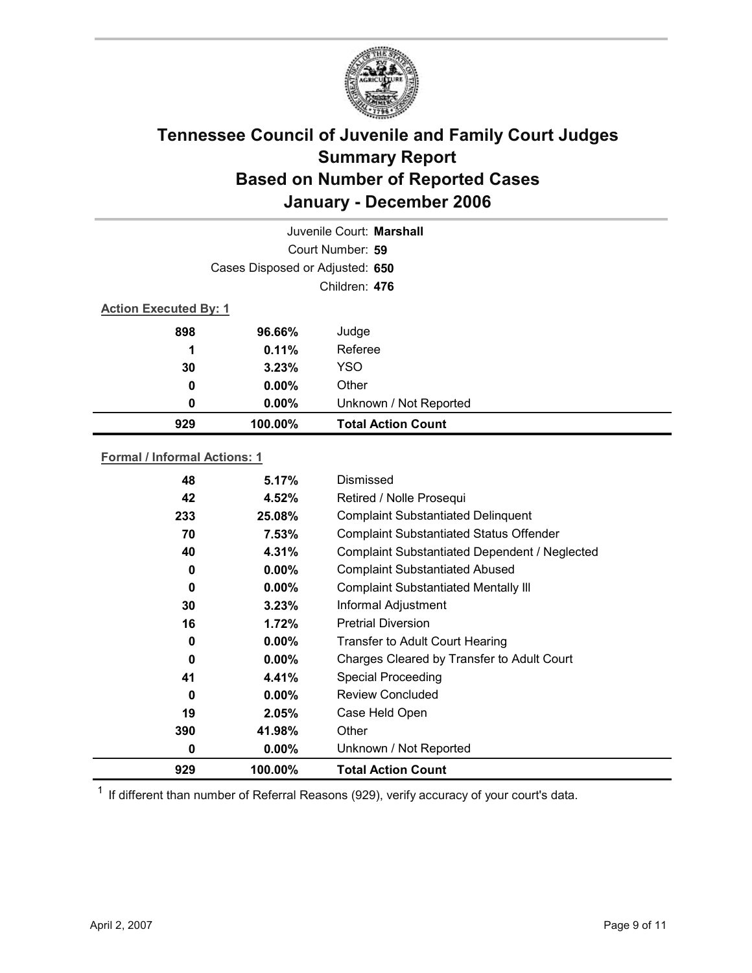

|                              |                                 | Juvenile Court: Marshall  |
|------------------------------|---------------------------------|---------------------------|
|                              |                                 | Court Number: 59          |
|                              | Cases Disposed or Adjusted: 650 |                           |
|                              |                                 | Children: 476             |
| <b>Action Executed By: 1</b> |                                 |                           |
| 898                          | 96.66%                          | Judge                     |
| 1                            | 0.11%                           | Referee                   |
| 30                           | 3.23%                           | <b>YSO</b>                |
| 0                            | $0.00\%$                        | Other                     |
| 0                            | $0.00\%$                        | Unknown / Not Reported    |
| 929                          | 100.00%                         | <b>Total Action Count</b> |

### **Formal / Informal Actions: 1**

| 0<br>929 | $0.00\%$<br>100.00% | Unknown / Not Reported<br><b>Total Action Count</b> |
|----------|---------------------|-----------------------------------------------------|
| 390      | 41.98%              | Other                                               |
| 19       | 2.05%               | Case Held Open                                      |
| 0        | $0.00\%$            | <b>Review Concluded</b>                             |
| 41       | 4.41%               | <b>Special Proceeding</b>                           |
| 0        | $0.00\%$            | Charges Cleared by Transfer to Adult Court          |
| 0        | $0.00\%$            | <b>Transfer to Adult Court Hearing</b>              |
| 16       | 1.72%               | <b>Pretrial Diversion</b>                           |
| 30       | 3.23%               | Informal Adjustment                                 |
| 0        | $0.00\%$            | <b>Complaint Substantiated Mentally III</b>         |
| 0        | $0.00\%$            | <b>Complaint Substantiated Abused</b>               |
| 40       | 4.31%               | Complaint Substantiated Dependent / Neglected       |
| 70       | 7.53%               | <b>Complaint Substantiated Status Offender</b>      |
| 233      | 25.08%              | <b>Complaint Substantiated Delinquent</b>           |
| 42       | 4.52%               | Retired / Nolle Prosequi                            |
| 48       | 5.17%               | Dismissed                                           |

 $1$  If different than number of Referral Reasons (929), verify accuracy of your court's data.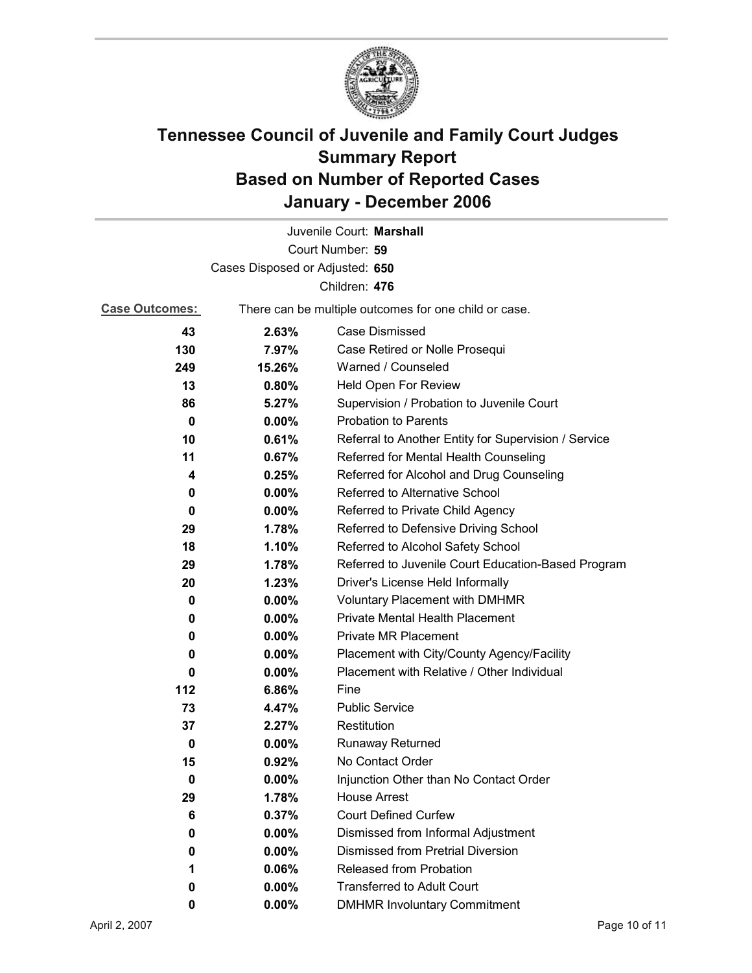

| Juvenile Court: Marshall |                                                       |                                                      |  |  |  |
|--------------------------|-------------------------------------------------------|------------------------------------------------------|--|--|--|
|                          |                                                       | Court Number: 59                                     |  |  |  |
|                          | Cases Disposed or Adjusted: 650                       |                                                      |  |  |  |
|                          |                                                       | Children: 476                                        |  |  |  |
| <b>Case Outcomes:</b>    | There can be multiple outcomes for one child or case. |                                                      |  |  |  |
| 43                       | 2.63%                                                 | Case Dismissed                                       |  |  |  |
| 130                      | 7.97%                                                 | Case Retired or Nolle Prosequi                       |  |  |  |
| 249                      | 15.26%                                                | Warned / Counseled                                   |  |  |  |
| 13                       | 0.80%                                                 | Held Open For Review                                 |  |  |  |
| 86                       | 5.27%                                                 | Supervision / Probation to Juvenile Court            |  |  |  |
| 0                        | 0.00%                                                 | <b>Probation to Parents</b>                          |  |  |  |
| 10                       | 0.61%                                                 | Referral to Another Entity for Supervision / Service |  |  |  |
| 11                       | 0.67%                                                 | Referred for Mental Health Counseling                |  |  |  |
| 4                        | 0.25%                                                 | Referred for Alcohol and Drug Counseling             |  |  |  |
| 0                        | $0.00\%$                                              | Referred to Alternative School                       |  |  |  |
| 0                        | $0.00\%$                                              | Referred to Private Child Agency                     |  |  |  |
| 29                       | 1.78%                                                 | Referred to Defensive Driving School                 |  |  |  |
| 18                       | 1.10%                                                 | Referred to Alcohol Safety School                    |  |  |  |
| 29                       | 1.78%                                                 | Referred to Juvenile Court Education-Based Program   |  |  |  |
| 20                       | 1.23%                                                 | Driver's License Held Informally                     |  |  |  |
| 0                        | $0.00\%$                                              | <b>Voluntary Placement with DMHMR</b>                |  |  |  |
| 0                        | $0.00\%$                                              | Private Mental Health Placement                      |  |  |  |
| 0                        | $0.00\%$                                              | <b>Private MR Placement</b>                          |  |  |  |
| 0                        | $0.00\%$                                              | Placement with City/County Agency/Facility           |  |  |  |
| 0                        | $0.00\%$                                              | Placement with Relative / Other Individual           |  |  |  |
| 112                      | 6.86%                                                 | Fine                                                 |  |  |  |
| 73                       | 4.47%                                                 | <b>Public Service</b>                                |  |  |  |
| 37                       | 2.27%                                                 | Restitution                                          |  |  |  |
| 0                        | $0.00\%$                                              | <b>Runaway Returned</b>                              |  |  |  |
| 15                       | 0.92%                                                 | No Contact Order                                     |  |  |  |
| 0                        | $0.00\%$                                              | Injunction Other than No Contact Order               |  |  |  |
| 29                       | 1.78%                                                 | <b>House Arrest</b>                                  |  |  |  |
| 6                        | 0.37%                                                 | <b>Court Defined Curfew</b>                          |  |  |  |
| 0                        | 0.00%                                                 | Dismissed from Informal Adjustment                   |  |  |  |
| 0                        | 0.00%                                                 | <b>Dismissed from Pretrial Diversion</b>             |  |  |  |
| 1                        | 0.06%                                                 | <b>Released from Probation</b>                       |  |  |  |
| 0                        | $0.00\%$                                              | <b>Transferred to Adult Court</b>                    |  |  |  |
| 0                        | 0.00%                                                 | <b>DMHMR Involuntary Commitment</b>                  |  |  |  |